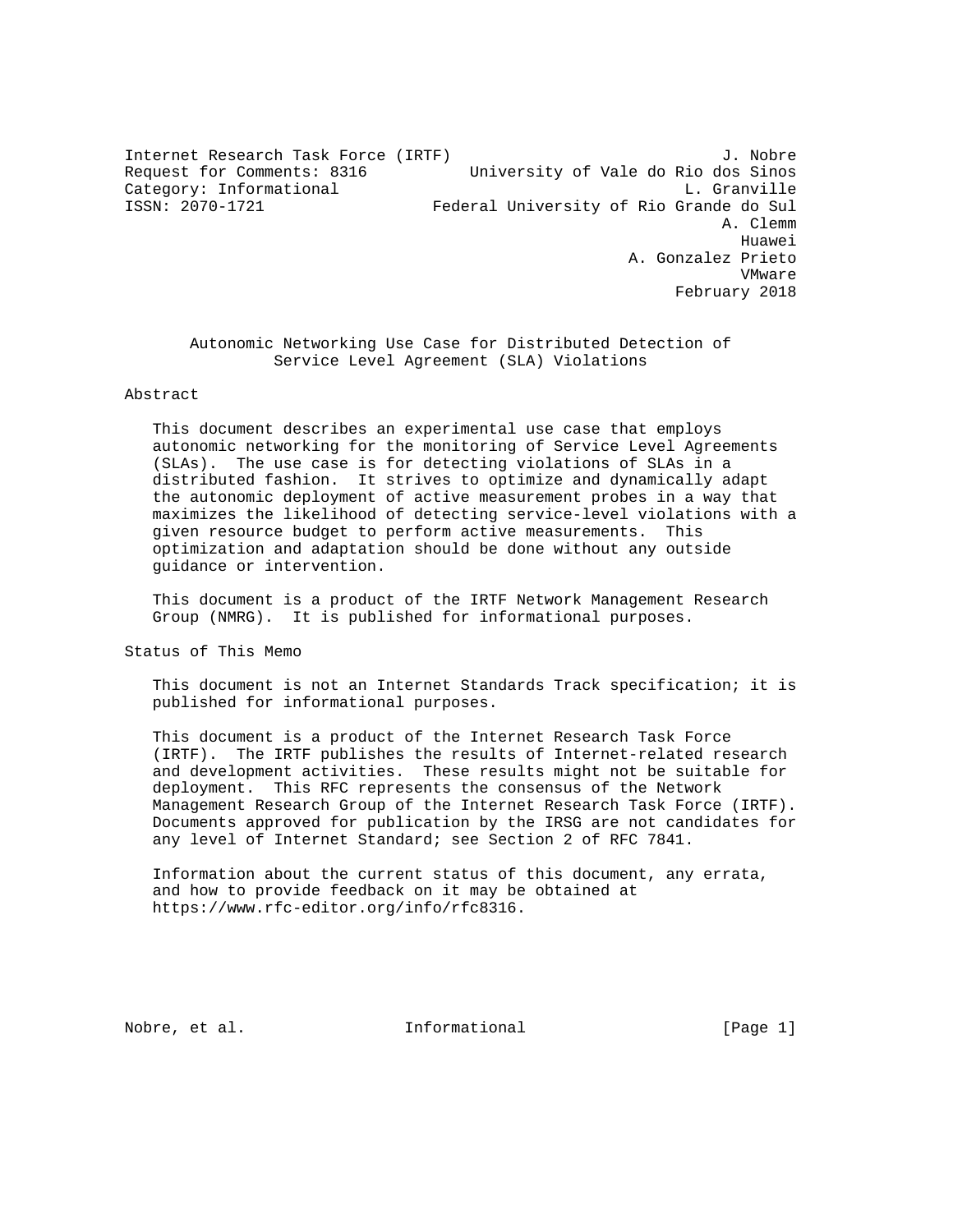Internet Research Task Force (IRTF) 3. Nobre Request for Comments: 8316 University of Vale do Rio dos Sinos Category: Informational and L. Granville<br>
ISSN: 2070-1721 - L. Grande do Sul Federal University of Rio Grande do Sul Federal University of Rio Grande do Sul A. Clemm he distributed by the control of the control of the control of the control of the control of the control of the control of the control of the control of the control of the control of the control of the control of the contr A. Gonzalez Prieto VMware February 2018

 Autonomic Networking Use Case for Distributed Detection of Service Level Agreement (SLA) Violations

## Abstract

 This document describes an experimental use case that employs autonomic networking for the monitoring of Service Level Agreements (SLAs). The use case is for detecting violations of SLAs in a distributed fashion. It strives to optimize and dynamically adapt the autonomic deployment of active measurement probes in a way that maximizes the likelihood of detecting service-level violations with a given resource budget to perform active measurements. This optimization and adaptation should be done without any outside guidance or intervention.

 This document is a product of the IRTF Network Management Research Group (NMRG). It is published for informational purposes.

Status of This Memo

 This document is not an Internet Standards Track specification; it is published for informational purposes.

 This document is a product of the Internet Research Task Force (IRTF). The IRTF publishes the results of Internet-related research and development activities. These results might not be suitable for deployment. This RFC represents the consensus of the Network Management Research Group of the Internet Research Task Force (IRTF). Documents approved for publication by the IRSG are not candidates for any level of Internet Standard; see Section 2 of RFC 7841.

 Information about the current status of this document, any errata, and how to provide feedback on it may be obtained at https://www.rfc-editor.org/info/rfc8316.

Nobre, et al.  $\qquad \qquad$  Informational  $\qquad \qquad$  [Page 1]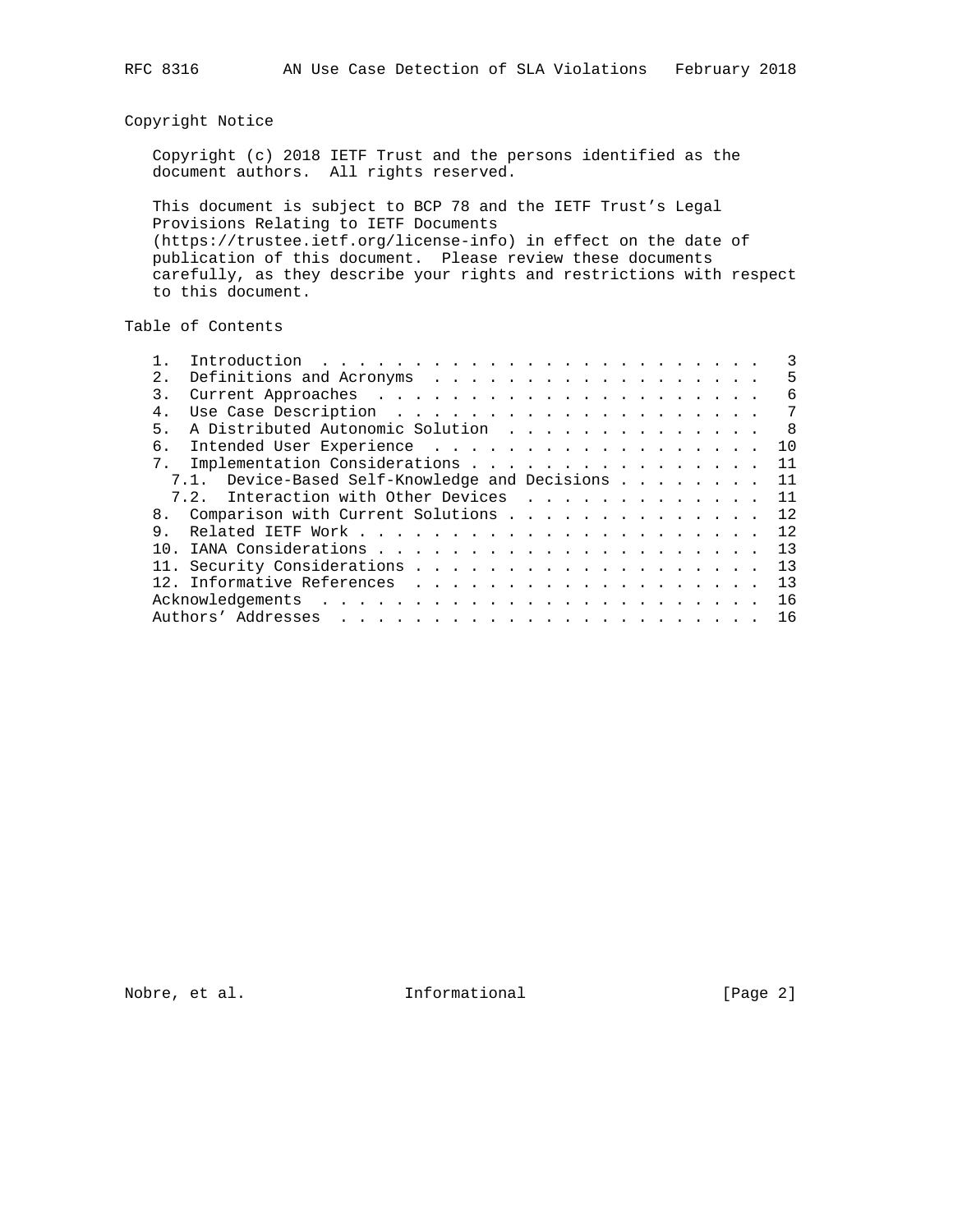# Copyright Notice

 Copyright (c) 2018 IETF Trust and the persons identified as the document authors. All rights reserved.

 This document is subject to BCP 78 and the IETF Trust's Legal Provisions Relating to IETF Documents (https://trustee.ietf.org/license-info) in effect on the date of publication of this document. Please review these documents carefully, as they describe your rights and restrictions with respect to this document.

# Table of Contents

| 2.1            |                                                |  |  |  |  |  | 5            |
|----------------|------------------------------------------------|--|--|--|--|--|--------------|
| 3.             |                                                |  |  |  |  |  | 6            |
| 4.             |                                                |  |  |  |  |  | 7            |
| 5 <sub>1</sub> | A Distributed Autonomic Solution               |  |  |  |  |  | $\mathsf{R}$ |
| б.             |                                                |  |  |  |  |  | 10           |
| 7 <sub>1</sub> | Implementation Considerations                  |  |  |  |  |  | 11           |
|                | 7.1. Device-Based Self-Knowledge and Decisions |  |  |  |  |  | 11           |
|                | 7.2. Interaction with Other Devices            |  |  |  |  |  | 11           |
|                | 8. Comparison with Current Solutions           |  |  |  |  |  | 12           |
| 9.             |                                                |  |  |  |  |  | 12           |
|                |                                                |  |  |  |  |  | 13           |
|                |                                                |  |  |  |  |  | 13           |
|                |                                                |  |  |  |  |  | 13           |
|                |                                                |  |  |  |  |  | 16           |
|                |                                                |  |  |  |  |  | 16           |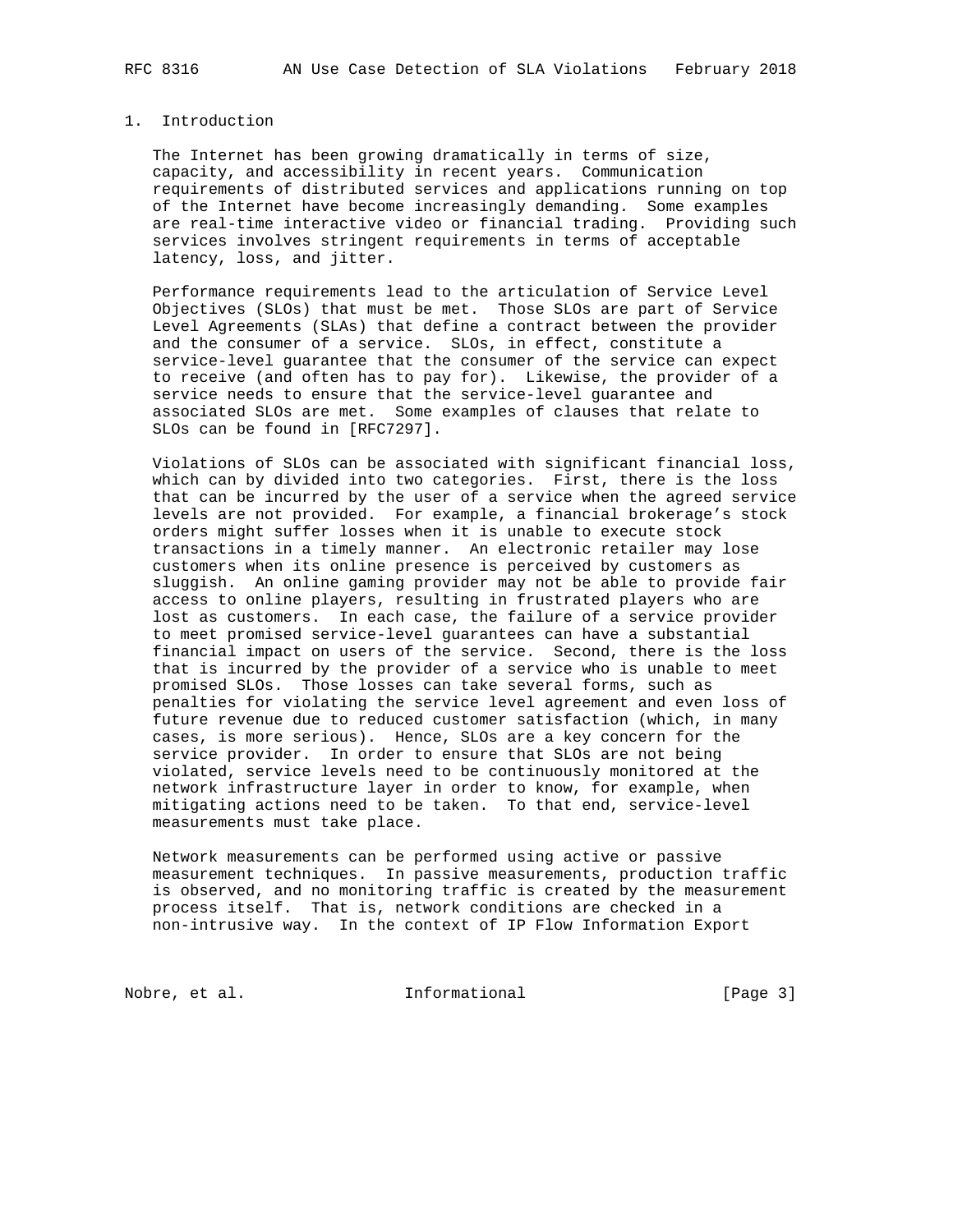## 1. Introduction

 The Internet has been growing dramatically in terms of size, capacity, and accessibility in recent years. Communication requirements of distributed services and applications running on top of the Internet have become increasingly demanding. Some examples are real-time interactive video or financial trading. Providing such services involves stringent requirements in terms of acceptable latency, loss, and jitter.

 Performance requirements lead to the articulation of Service Level Objectives (SLOs) that must be met. Those SLOs are part of Service Level Agreements (SLAs) that define a contract between the provider and the consumer of a service. SLOs, in effect, constitute a service-level guarantee that the consumer of the service can expect to receive (and often has to pay for). Likewise, the provider of a service needs to ensure that the service-level guarantee and associated SLOs are met. Some examples of clauses that relate to SLOs can be found in [RFC7297].

 Violations of SLOs can be associated with significant financial loss, which can by divided into two categories. First, there is the loss that can be incurred by the user of a service when the agreed service levels are not provided. For example, a financial brokerage's stock orders might suffer losses when it is unable to execute stock transactions in a timely manner. An electronic retailer may lose customers when its online presence is perceived by customers as sluggish. An online gaming provider may not be able to provide fair access to online players, resulting in frustrated players who are lost as customers. In each case, the failure of a service provider to meet promised service-level guarantees can have a substantial financial impact on users of the service. Second, there is the loss that is incurred by the provider of a service who is unable to meet promised SLOs. Those losses can take several forms, such as penalties for violating the service level agreement and even loss of future revenue due to reduced customer satisfaction (which, in many cases, is more serious). Hence, SLOs are a key concern for the service provider. In order to ensure that SLOs are not being violated, service levels need to be continuously monitored at the network infrastructure layer in order to know, for example, when mitigating actions need to be taken. To that end, service-level measurements must take place.

 Network measurements can be performed using active or passive measurement techniques. In passive measurements, production traffic is observed, and no monitoring traffic is created by the measurement process itself. That is, network conditions are checked in a non-intrusive way. In the context of IP Flow Information Export

Nobre, et al. 100 mm informational 100 mm informational [Page 3]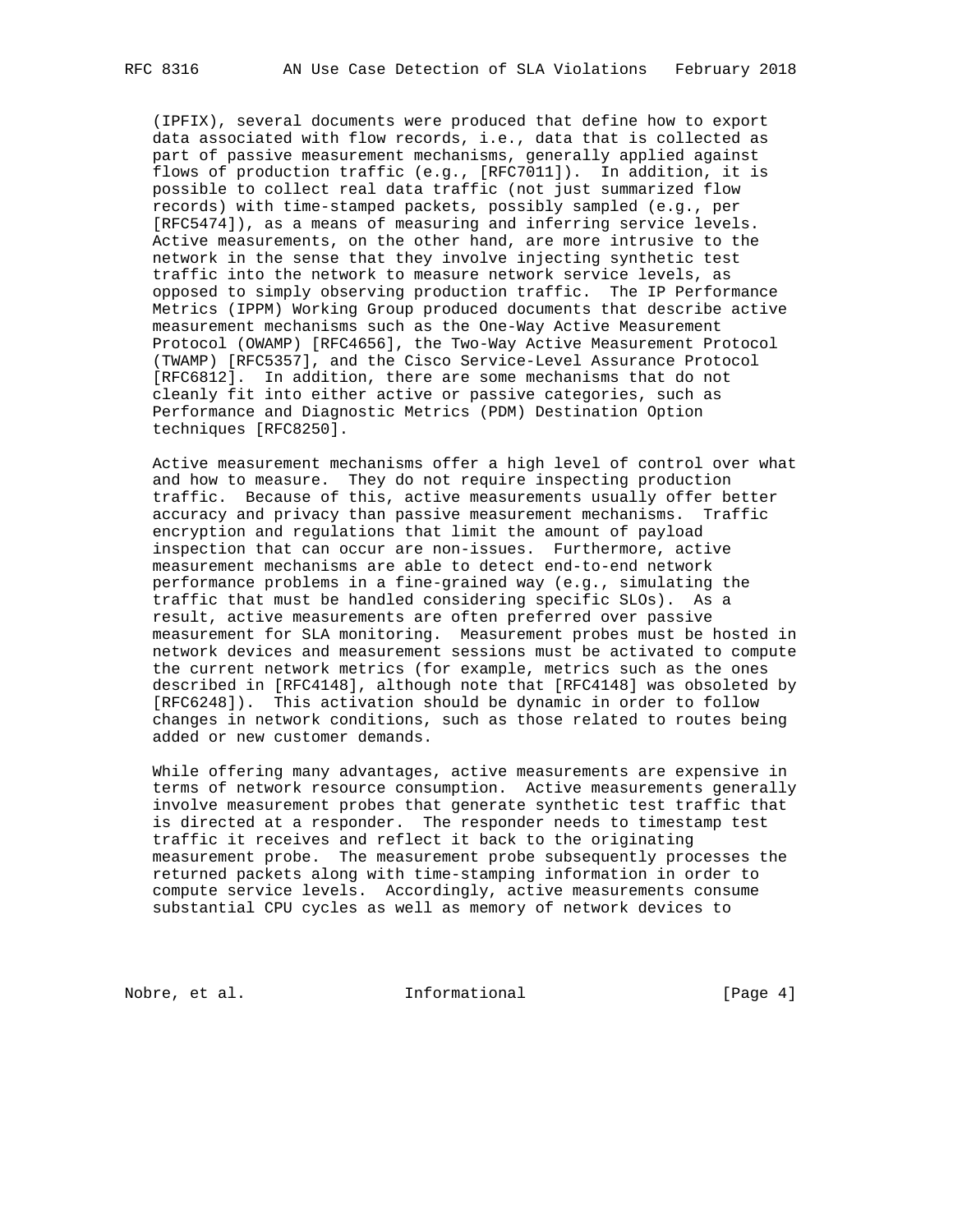(IPFIX), several documents were produced that define how to export data associated with flow records, i.e., data that is collected as part of passive measurement mechanisms, generally applied against flows of production traffic (e.g., [RFC7011]). In addition, it is possible to collect real data traffic (not just summarized flow records) with time-stamped packets, possibly sampled (e.g., per [RFC5474]), as a means of measuring and inferring service levels. Active measurements, on the other hand, are more intrusive to the network in the sense that they involve injecting synthetic test traffic into the network to measure network service levels, as opposed to simply observing production traffic. The IP Performance Metrics (IPPM) Working Group produced documents that describe active measurement mechanisms such as the One-Way Active Measurement Protocol (OWAMP) [RFC4656], the Two-Way Active Measurement Protocol (TWAMP) [RFC5357], and the Cisco Service-Level Assurance Protocol [RFC6812]. In addition, there are some mechanisms that do not cleanly fit into either active or passive categories, such as Performance and Diagnostic Metrics (PDM) Destination Option techniques [RFC8250].

 Active measurement mechanisms offer a high level of control over what and how to measure. They do not require inspecting production traffic. Because of this, active measurements usually offer better accuracy and privacy than passive measurement mechanisms. Traffic encryption and regulations that limit the amount of payload inspection that can occur are non-issues. Furthermore, active measurement mechanisms are able to detect end-to-end network performance problems in a fine-grained way (e.g., simulating the traffic that must be handled considering specific SLOs). As a result, active measurements are often preferred over passive measurement for SLA monitoring. Measurement probes must be hosted in network devices and measurement sessions must be activated to compute the current network metrics (for example, metrics such as the ones described in [RFC4148], although note that [RFC4148] was obsoleted by [RFC6248]). This activation should be dynamic in order to follow changes in network conditions, such as those related to routes being added or new customer demands.

 While offering many advantages, active measurements are expensive in terms of network resource consumption. Active measurements generally involve measurement probes that generate synthetic test traffic that is directed at a responder. The responder needs to timestamp test traffic it receives and reflect it back to the originating measurement probe. The measurement probe subsequently processes the returned packets along with time-stamping information in order to compute service levels. Accordingly, active measurements consume substantial CPU cycles as well as memory of network devices to

Nobre, et al. 100 mm informational 100 mm informational [Page 4]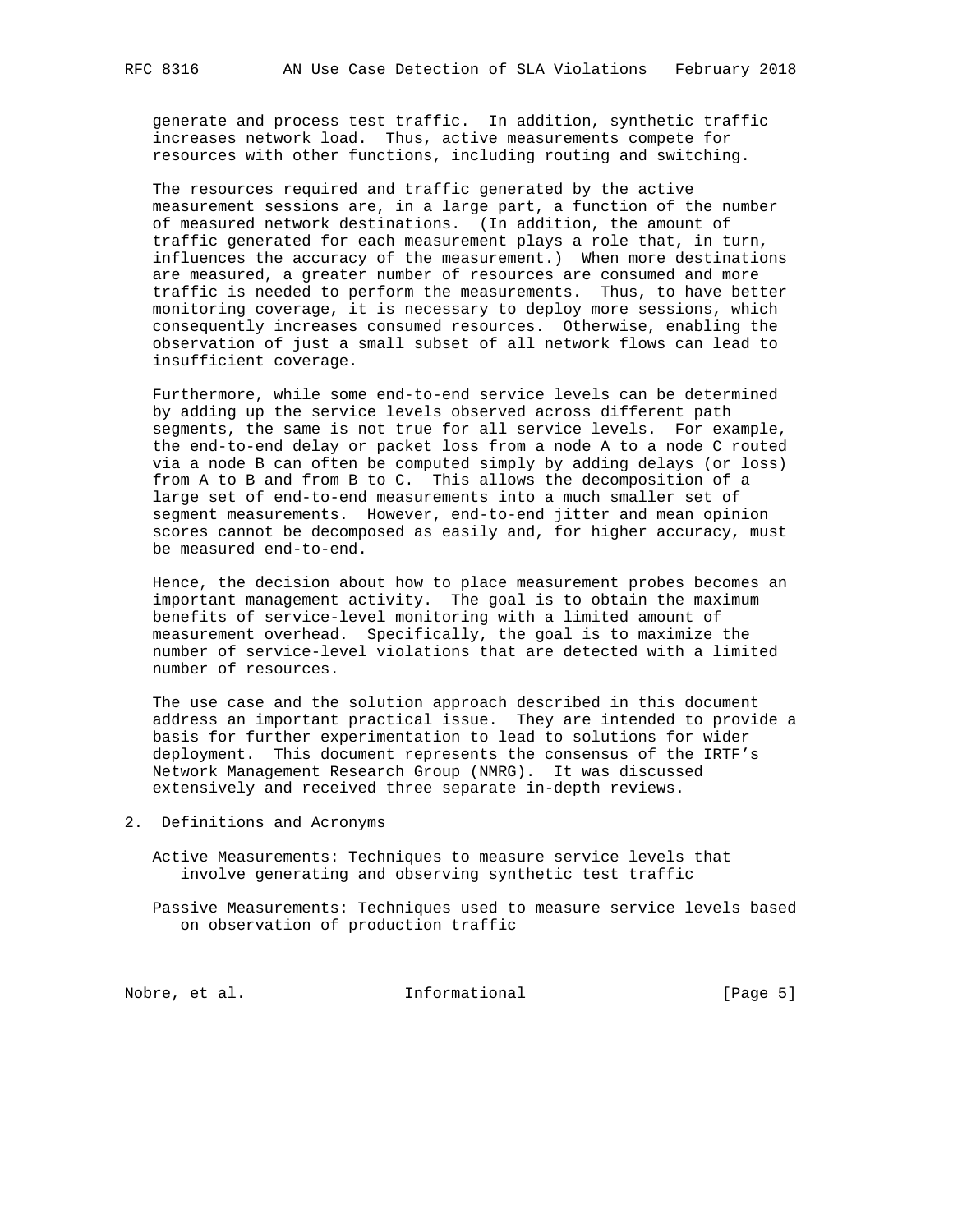generate and process test traffic. In addition, synthetic traffic increases network load. Thus, active measurements compete for resources with other functions, including routing and switching.

 The resources required and traffic generated by the active measurement sessions are, in a large part, a function of the number of measured network destinations. (In addition, the amount of traffic generated for each measurement plays a role that, in turn, influences the accuracy of the measurement.) When more destinations are measured, a greater number of resources are consumed and more traffic is needed to perform the measurements. Thus, to have better monitoring coverage, it is necessary to deploy more sessions, which consequently increases consumed resources. Otherwise, enabling the observation of just a small subset of all network flows can lead to insufficient coverage.

 Furthermore, while some end-to-end service levels can be determined by adding up the service levels observed across different path segments, the same is not true for all service levels. For example, the end-to-end delay or packet loss from a node A to a node C routed via a node B can often be computed simply by adding delays (or loss) from A to B and from B to C. This allows the decomposition of a large set of end-to-end measurements into a much smaller set of segment measurements. However, end-to-end jitter and mean opinion scores cannot be decomposed as easily and, for higher accuracy, must be measured end-to-end.

 Hence, the decision about how to place measurement probes becomes an important management activity. The goal is to obtain the maximum benefits of service-level monitoring with a limited amount of measurement overhead. Specifically, the goal is to maximize the number of service-level violations that are detected with a limited number of resources.

 The use case and the solution approach described in this document address an important practical issue. They are intended to provide a basis for further experimentation to lead to solutions for wider deployment. This document represents the consensus of the IRTF's Network Management Research Group (NMRG). It was discussed extensively and received three separate in-depth reviews.

- 2. Definitions and Acronyms
	- Active Measurements: Techniques to measure service levels that involve generating and observing synthetic test traffic
	- Passive Measurements: Techniques used to measure service levels based on observation of production traffic

Nobre, et al. 100 mm informational 100 mm informational [Page 5]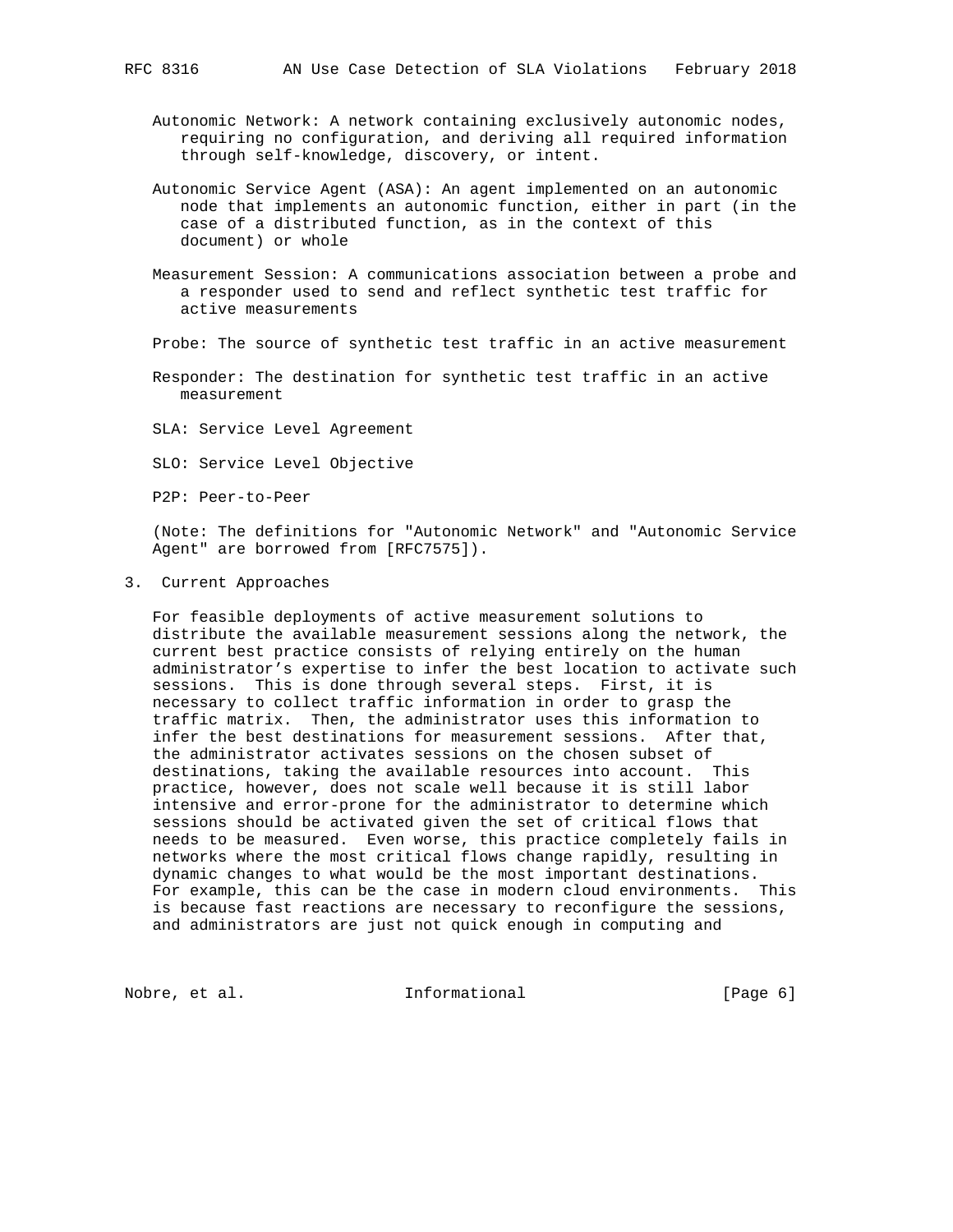- Autonomic Network: A network containing exclusively autonomic nodes, requiring no configuration, and deriving all required information through self-knowledge, discovery, or intent.
- Autonomic Service Agent (ASA): An agent implemented on an autonomic node that implements an autonomic function, either in part (in the case of a distributed function, as in the context of this document) or whole
- Measurement Session: A communications association between a probe and a responder used to send and reflect synthetic test traffic for active measurements

Probe: The source of synthetic test traffic in an active measurement

 Responder: The destination for synthetic test traffic in an active measurement

SLA: Service Level Agreement

SLO: Service Level Objective

P2P: Peer-to-Peer

 (Note: The definitions for "Autonomic Network" and "Autonomic Service Agent" are borrowed from [RFC7575]).

3. Current Approaches

 For feasible deployments of active measurement solutions to distribute the available measurement sessions along the network, the current best practice consists of relying entirely on the human administrator's expertise to infer the best location to activate such sessions. This is done through several steps. First, it is necessary to collect traffic information in order to grasp the traffic matrix. Then, the administrator uses this information to infer the best destinations for measurement sessions. After that, the administrator activates sessions on the chosen subset of destinations, taking the available resources into account. This practice, however, does not scale well because it is still labor intensive and error-prone for the administrator to determine which sessions should be activated given the set of critical flows that needs to be measured. Even worse, this practice completely fails in networks where the most critical flows change rapidly, resulting in dynamic changes to what would be the most important destinations. For example, this can be the case in modern cloud environments. This is because fast reactions are necessary to reconfigure the sessions, and administrators are just not quick enough in computing and

Nobre, et al.  $I_n$  informational  $[Page 6]$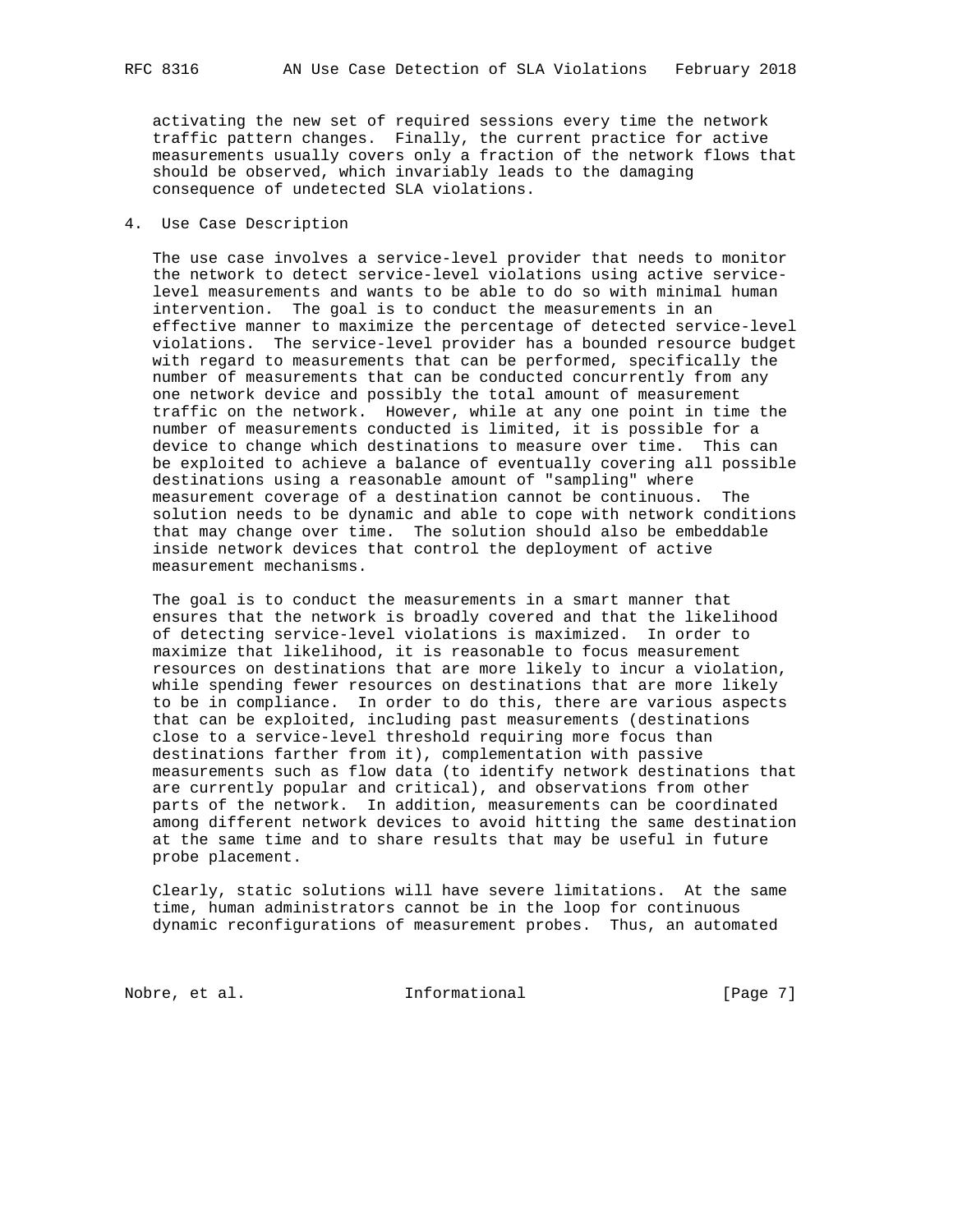activating the new set of required sessions every time the network traffic pattern changes. Finally, the current practice for active measurements usually covers only a fraction of the network flows that should be observed, which invariably leads to the damaging consequence of undetected SLA violations.

#### 4. Use Case Description

 The use case involves a service-level provider that needs to monitor the network to detect service-level violations using active service level measurements and wants to be able to do so with minimal human intervention. The goal is to conduct the measurements in an effective manner to maximize the percentage of detected service-level violations. The service-level provider has a bounded resource budget with regard to measurements that can be performed, specifically the number of measurements that can be conducted concurrently from any one network device and possibly the total amount of measurement traffic on the network. However, while at any one point in time the number of measurements conducted is limited, it is possible for a device to change which destinations to measure over time. This can be exploited to achieve a balance of eventually covering all possible destinations using a reasonable amount of "sampling" where measurement coverage of a destination cannot be continuous. The solution needs to be dynamic and able to cope with network conditions that may change over time. The solution should also be embeddable inside network devices that control the deployment of active measurement mechanisms.

 The goal is to conduct the measurements in a smart manner that ensures that the network is broadly covered and that the likelihood of detecting service-level violations is maximized. In order to maximize that likelihood, it is reasonable to focus measurement resources on destinations that are more likely to incur a violation, while spending fewer resources on destinations that are more likely to be in compliance. In order to do this, there are various aspects that can be exploited, including past measurements (destinations close to a service-level threshold requiring more focus than destinations farther from it), complementation with passive measurements such as flow data (to identify network destinations that are currently popular and critical), and observations from other parts of the network. In addition, measurements can be coordinated among different network devices to avoid hitting the same destination at the same time and to share results that may be useful in future probe placement.

 Clearly, static solutions will have severe limitations. At the same time, human administrators cannot be in the loop for continuous dynamic reconfigurations of measurement probes. Thus, an automated

Nobre, et al. Informational [Page 7]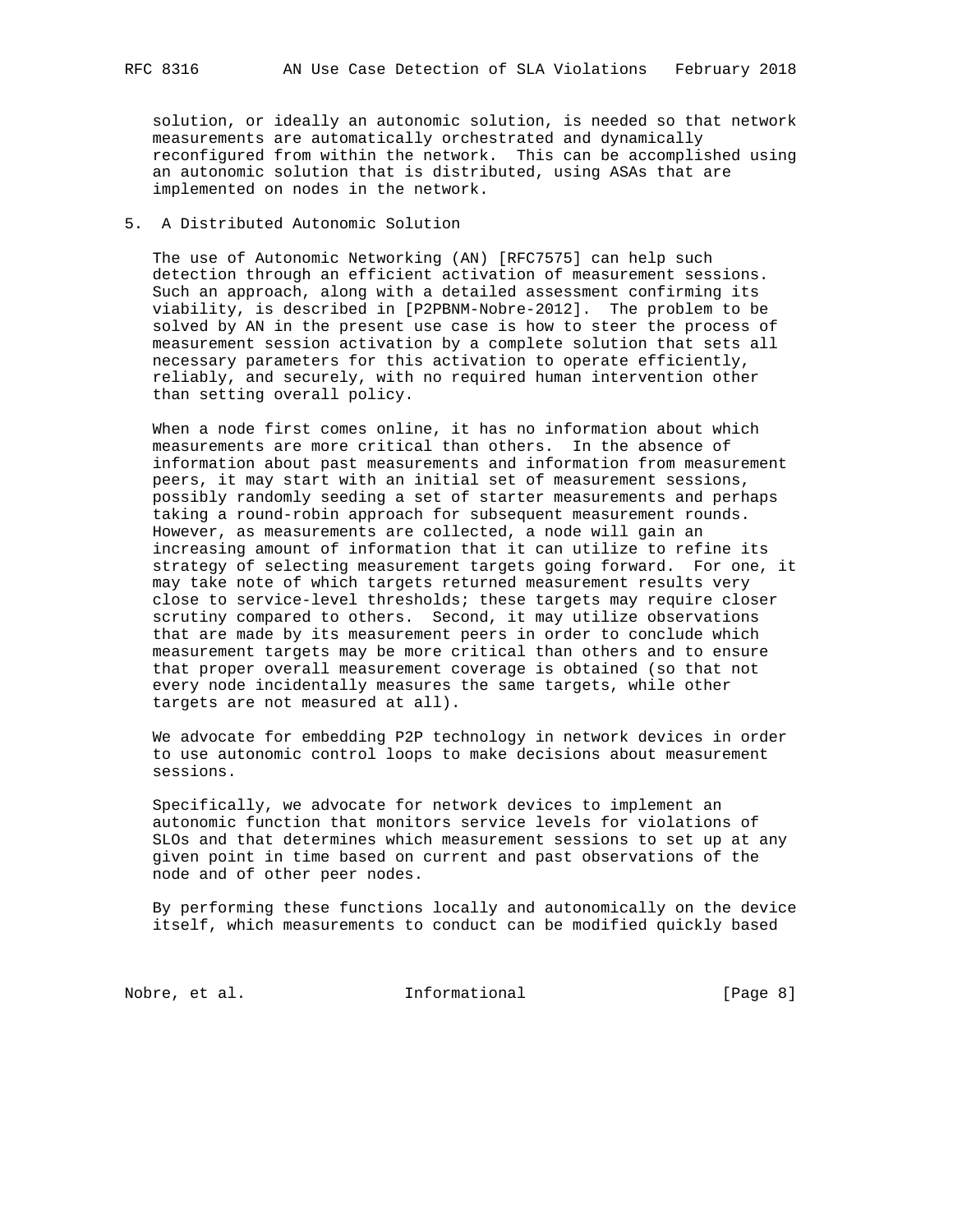solution, or ideally an autonomic solution, is needed so that network measurements are automatically orchestrated and dynamically reconfigured from within the network. This can be accomplished using an autonomic solution that is distributed, using ASAs that are implemented on nodes in the network.

## 5. A Distributed Autonomic Solution

 The use of Autonomic Networking (AN) [RFC7575] can help such detection through an efficient activation of measurement sessions. Such an approach, along with a detailed assessment confirming its viability, is described in [P2PBNM-Nobre-2012]. The problem to be solved by AN in the present use case is how to steer the process of measurement session activation by a complete solution that sets all necessary parameters for this activation to operate efficiently, reliably, and securely, with no required human intervention other than setting overall policy.

 When a node first comes online, it has no information about which measurements are more critical than others. In the absence of information about past measurements and information from measurement peers, it may start with an initial set of measurement sessions, possibly randomly seeding a set of starter measurements and perhaps taking a round-robin approach for subsequent measurement rounds. However, as measurements are collected, a node will gain an increasing amount of information that it can utilize to refine its strategy of selecting measurement targets going forward. For one, it may take note of which targets returned measurement results very close to service-level thresholds; these targets may require closer scrutiny compared to others. Second, it may utilize observations that are made by its measurement peers in order to conclude which measurement targets may be more critical than others and to ensure that proper overall measurement coverage is obtained (so that not every node incidentally measures the same targets, while other targets are not measured at all).

 We advocate for embedding P2P technology in network devices in order to use autonomic control loops to make decisions about measurement sessions.

 Specifically, we advocate for network devices to implement an autonomic function that monitors service levels for violations of SLOs and that determines which measurement sessions to set up at any given point in time based on current and past observations of the node and of other peer nodes.

 By performing these functions locally and autonomically on the device itself, which measurements to conduct can be modified quickly based

Nobre, et al.  $I_n$  informational  $[Page 8]$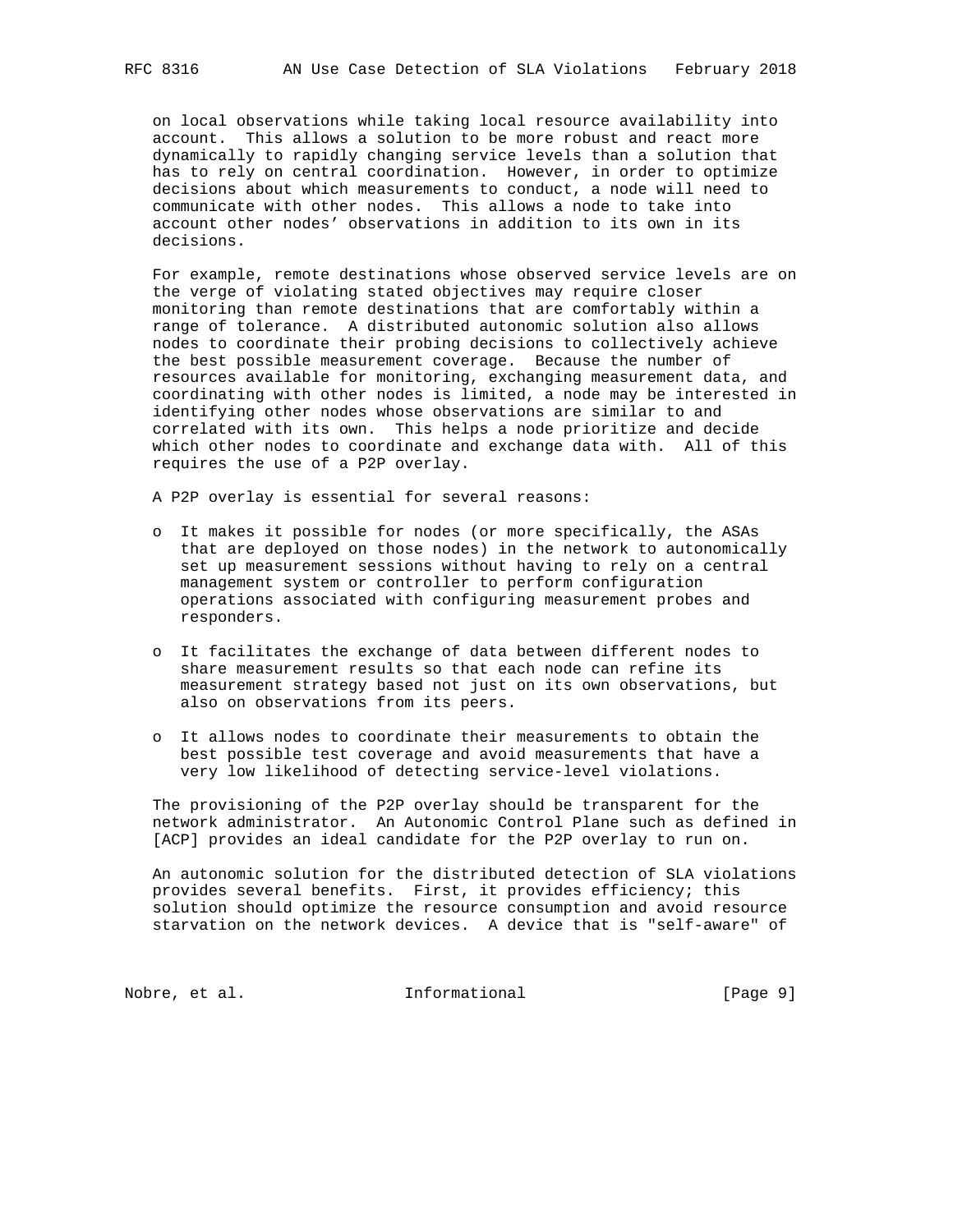on local observations while taking local resource availability into account. This allows a solution to be more robust and react more dynamically to rapidly changing service levels than a solution that has to rely on central coordination. However, in order to optimize decisions about which measurements to conduct, a node will need to communicate with other nodes. This allows a node to take into account other nodes' observations in addition to its own in its decisions.

 For example, remote destinations whose observed service levels are on the verge of violating stated objectives may require closer monitoring than remote destinations that are comfortably within a range of tolerance. A distributed autonomic solution also allows nodes to coordinate their probing decisions to collectively achieve the best possible measurement coverage. Because the number of resources available for monitoring, exchanging measurement data, and coordinating with other nodes is limited, a node may be interested in identifying other nodes whose observations are similar to and correlated with its own. This helps a node prioritize and decide which other nodes to coordinate and exchange data with. All of this requires the use of a P2P overlay.

A P2P overlay is essential for several reasons:

- o It makes it possible for nodes (or more specifically, the ASAs that are deployed on those nodes) in the network to autonomically set up measurement sessions without having to rely on a central management system or controller to perform configuration operations associated with configuring measurement probes and responders.
- o It facilitates the exchange of data between different nodes to share measurement results so that each node can refine its measurement strategy based not just on its own observations, but also on observations from its peers.
- o It allows nodes to coordinate their measurements to obtain the best possible test coverage and avoid measurements that have a very low likelihood of detecting service-level violations.

 The provisioning of the P2P overlay should be transparent for the network administrator. An Autonomic Control Plane such as defined in [ACP] provides an ideal candidate for the P2P overlay to run on.

 An autonomic solution for the distributed detection of SLA violations provides several benefits. First, it provides efficiency; this solution should optimize the resource consumption and avoid resource starvation on the network devices. A device that is "self-aware" of

Nobre, et al. 1000 and 111 Informational 1000 and 1000 and 1000 and 1000 and 1000 and 1000 and 1000 and 1000 and 1000 and 1000 and 1000 and 1000 and 1000 and 1000 and 1000 and 1000 and 1000 and 1000 and 1000 and 1000 and 1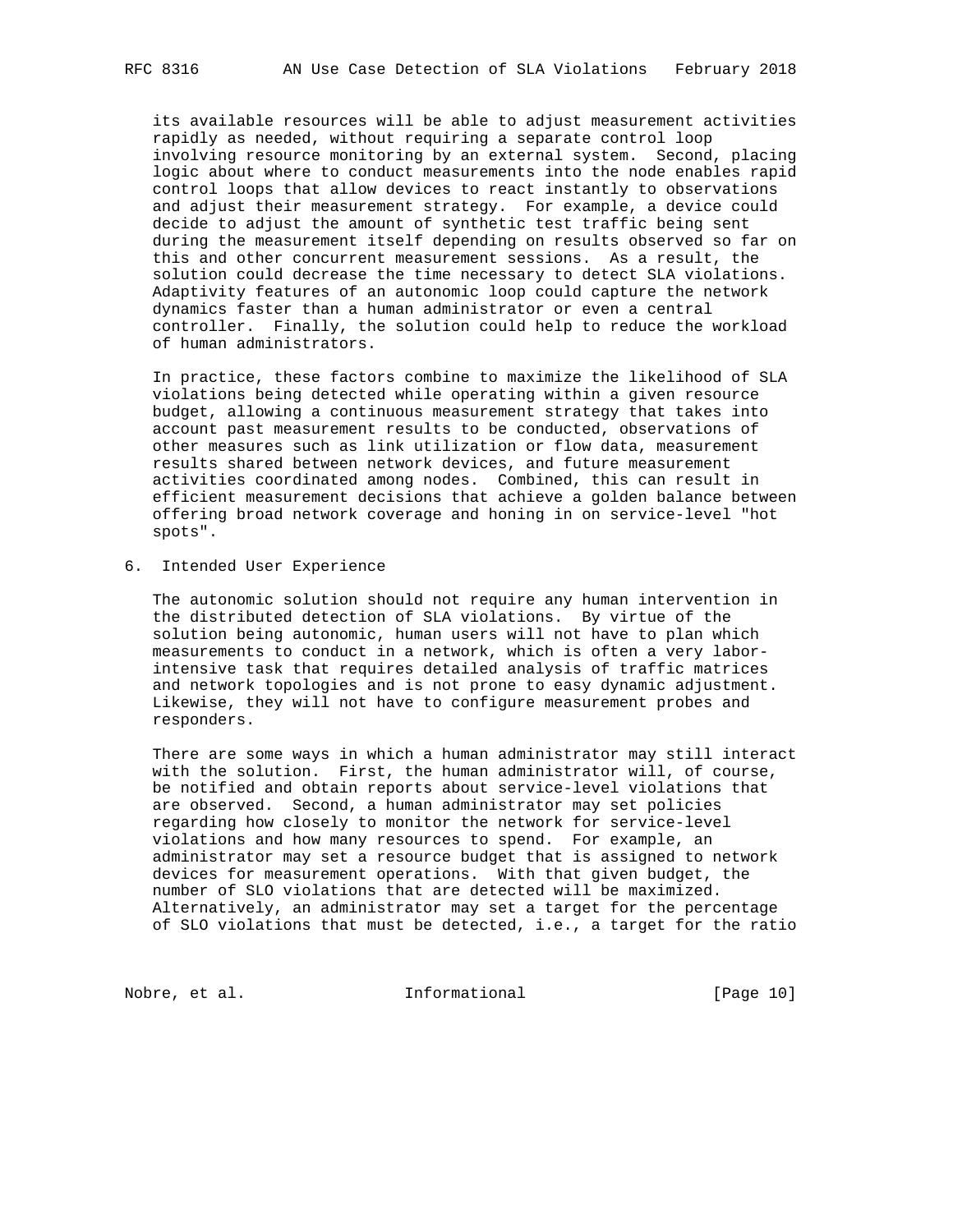its available resources will be able to adjust measurement activities rapidly as needed, without requiring a separate control loop involving resource monitoring by an external system. Second, placing logic about where to conduct measurements into the node enables rapid control loops that allow devices to react instantly to observations and adjust their measurement strategy. For example, a device could decide to adjust the amount of synthetic test traffic being sent during the measurement itself depending on results observed so far on this and other concurrent measurement sessions. As a result, the solution could decrease the time necessary to detect SLA violations. Adaptivity features of an autonomic loop could capture the network dynamics faster than a human administrator or even a central controller. Finally, the solution could help to reduce the workload of human administrators.

 In practice, these factors combine to maximize the likelihood of SLA violations being detected while operating within a given resource budget, allowing a continuous measurement strategy that takes into account past measurement results to be conducted, observations of other measures such as link utilization or flow data, measurement results shared between network devices, and future measurement activities coordinated among nodes. Combined, this can result in efficient measurement decisions that achieve a golden balance between offering broad network coverage and honing in on service-level "hot spots".

6. Intended User Experience

 The autonomic solution should not require any human intervention in the distributed detection of SLA violations. By virtue of the solution being autonomic, human users will not have to plan which measurements to conduct in a network, which is often a very labor intensive task that requires detailed analysis of traffic matrices and network topologies and is not prone to easy dynamic adjustment. Likewise, they will not have to configure measurement probes and responders.

 There are some ways in which a human administrator may still interact with the solution. First, the human administrator will, of course, be notified and obtain reports about service-level violations that are observed. Second, a human administrator may set policies regarding how closely to monitor the network for service-level violations and how many resources to spend. For example, an administrator may set a resource budget that is assigned to network devices for measurement operations. With that given budget, the number of SLO violations that are detected will be maximized. Alternatively, an administrator may set a target for the percentage of SLO violations that must be detected, i.e., a target for the ratio

Nobre, et al. 100 mm informational [Page 10]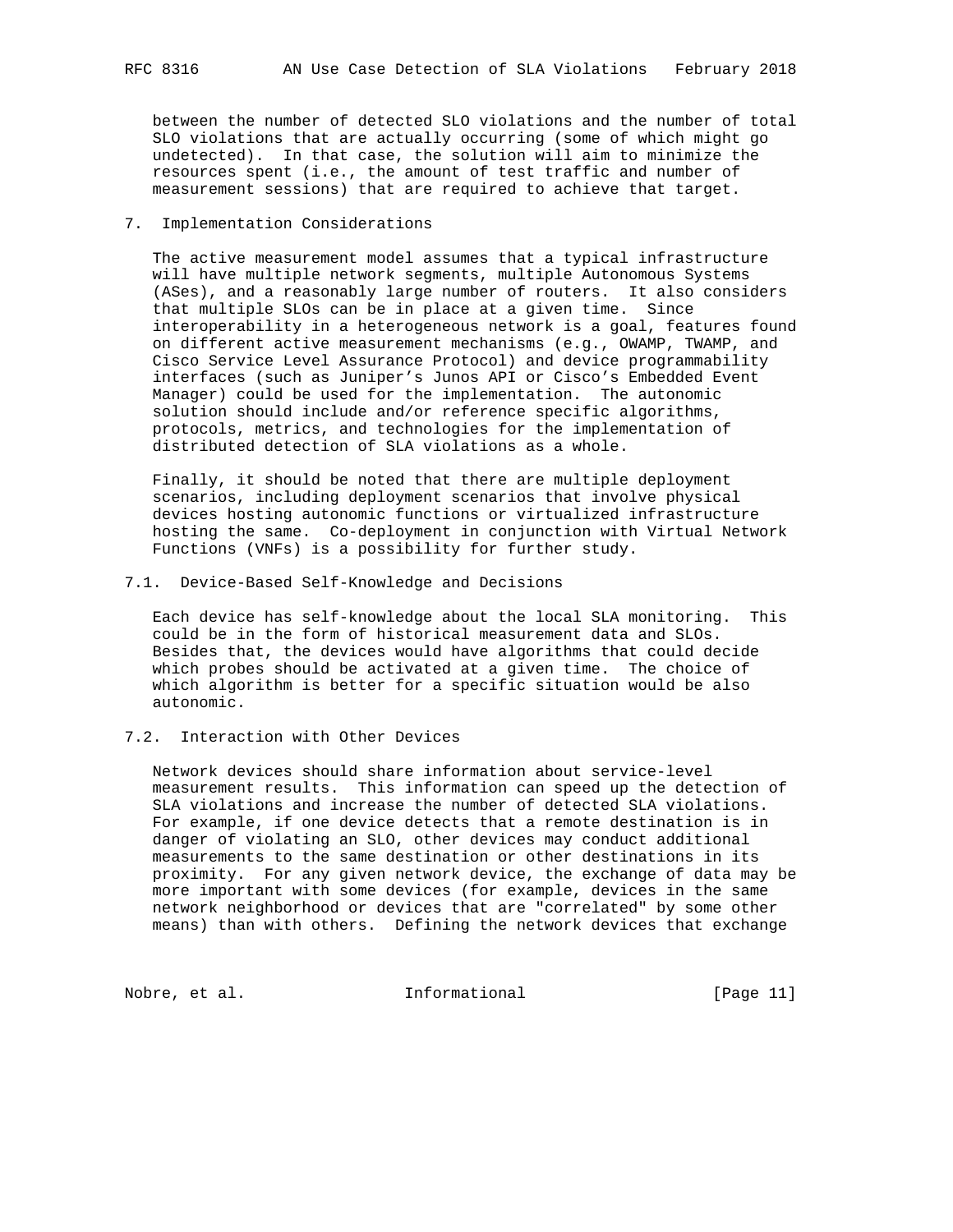between the number of detected SLO violations and the number of total SLO violations that are actually occurring (some of which might go undetected). In that case, the solution will aim to minimize the resources spent (i.e., the amount of test traffic and number of measurement sessions) that are required to achieve that target.

#### 7. Implementation Considerations

 The active measurement model assumes that a typical infrastructure will have multiple network segments, multiple Autonomous Systems (ASes), and a reasonably large number of routers. It also considers that multiple SLOs can be in place at a given time. Since interoperability in a heterogeneous network is a goal, features found on different active measurement mechanisms (e.g., OWAMP, TWAMP, and Cisco Service Level Assurance Protocol) and device programmability interfaces (such as Juniper's Junos API or Cisco's Embedded Event Manager) could be used for the implementation. The autonomic solution should include and/or reference specific algorithms, protocols, metrics, and technologies for the implementation of distributed detection of SLA violations as a whole.

 Finally, it should be noted that there are multiple deployment scenarios, including deployment scenarios that involve physical devices hosting autonomic functions or virtualized infrastructure hosting the same. Co-deployment in conjunction with Virtual Network Functions (VNFs) is a possibility for further study.

#### 7.1. Device-Based Self-Knowledge and Decisions

 Each device has self-knowledge about the local SLA monitoring. This could be in the form of historical measurement data and SLOs. Besides that, the devices would have algorithms that could decide which probes should be activated at a given time. The choice of which algorithm is better for a specific situation would be also autonomic.

# 7.2. Interaction with Other Devices

 Network devices should share information about service-level measurement results. This information can speed up the detection of SLA violations and increase the number of detected SLA violations. For example, if one device detects that a remote destination is in danger of violating an SLO, other devices may conduct additional measurements to the same destination or other destinations in its proximity. For any given network device, the exchange of data may be more important with some devices (for example, devices in the same network neighborhood or devices that are "correlated" by some other means) than with others. Defining the network devices that exchange

Nobre, et al. 100 mm informational [Page 11]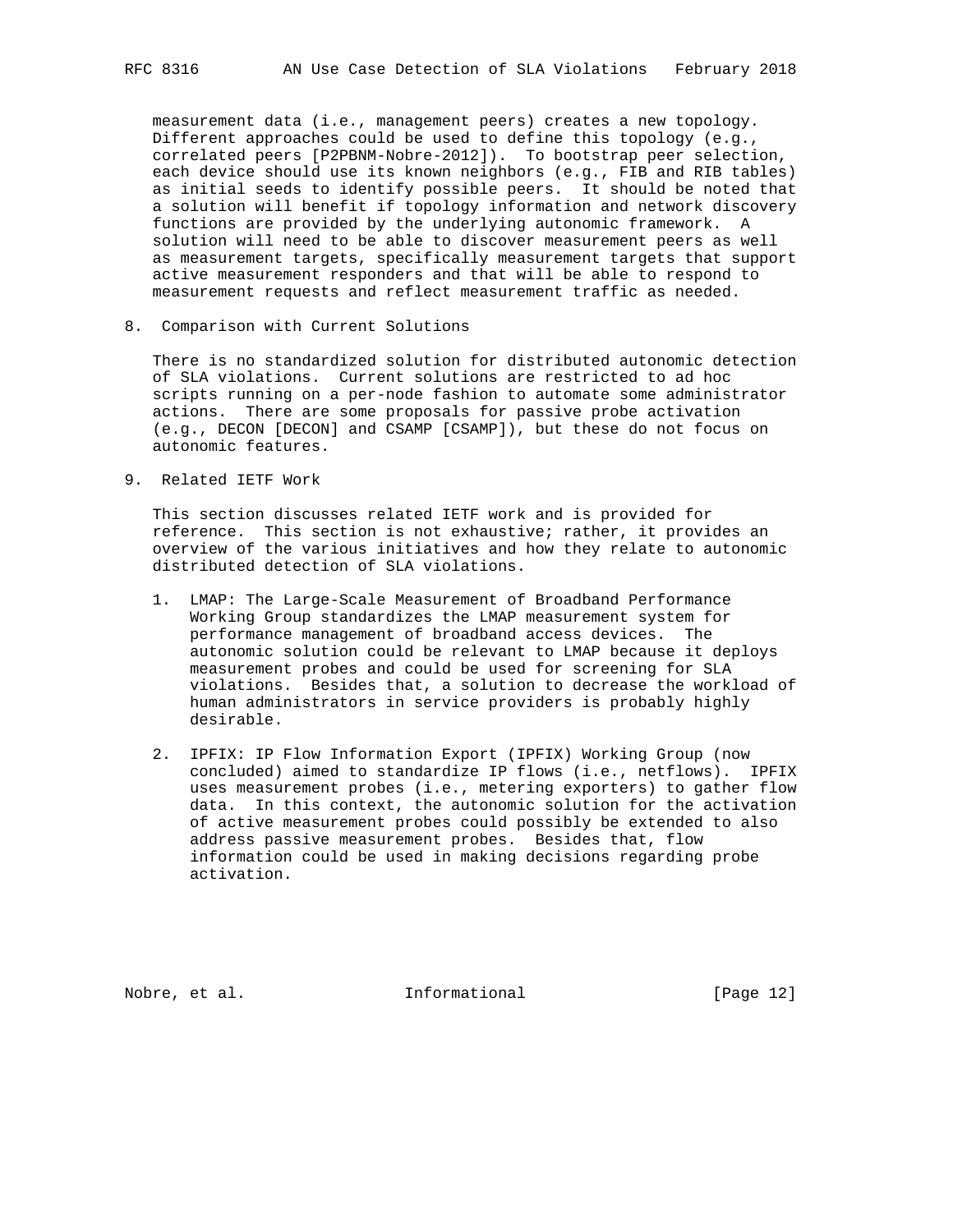measurement data (i.e., management peers) creates a new topology. Different approaches could be used to define this topology (e.g., correlated peers [P2PBNM-Nobre-2012]). To bootstrap peer selection, each device should use its known neighbors (e.g., FIB and RIB tables) as initial seeds to identify possible peers. It should be noted that a solution will benefit if topology information and network discovery functions are provided by the underlying autonomic framework. A solution will need to be able to discover measurement peers as well as measurement targets, specifically measurement targets that support active measurement responders and that will be able to respond to measurement requests and reflect measurement traffic as needed.

8. Comparison with Current Solutions

 There is no standardized solution for distributed autonomic detection of SLA violations. Current solutions are restricted to ad hoc scripts running on a per-node fashion to automate some administrator actions. There are some proposals for passive probe activation (e.g., DECON [DECON] and CSAMP [CSAMP]), but these do not focus on autonomic features.

9. Related IETF Work

 This section discusses related IETF work and is provided for reference. This section is not exhaustive; rather, it provides an overview of the various initiatives and how they relate to autonomic distributed detection of SLA violations.

- 1. LMAP: The Large-Scale Measurement of Broadband Performance Working Group standardizes the LMAP measurement system for performance management of broadband access devices. The autonomic solution could be relevant to LMAP because it deploys measurement probes and could be used for screening for SLA violations. Besides that, a solution to decrease the workload of human administrators in service providers is probably highly desirable.
- 2. IPFIX: IP Flow Information Export (IPFIX) Working Group (now concluded) aimed to standardize IP flows (i.e., netflows). IPFIX uses measurement probes (i.e., metering exporters) to gather flow data. In this context, the autonomic solution for the activation of active measurement probes could possibly be extended to also address passive measurement probes. Besides that, flow information could be used in making decisions regarding probe activation.

Nobre, et al. 1000 1000 111 Informational [Page 12]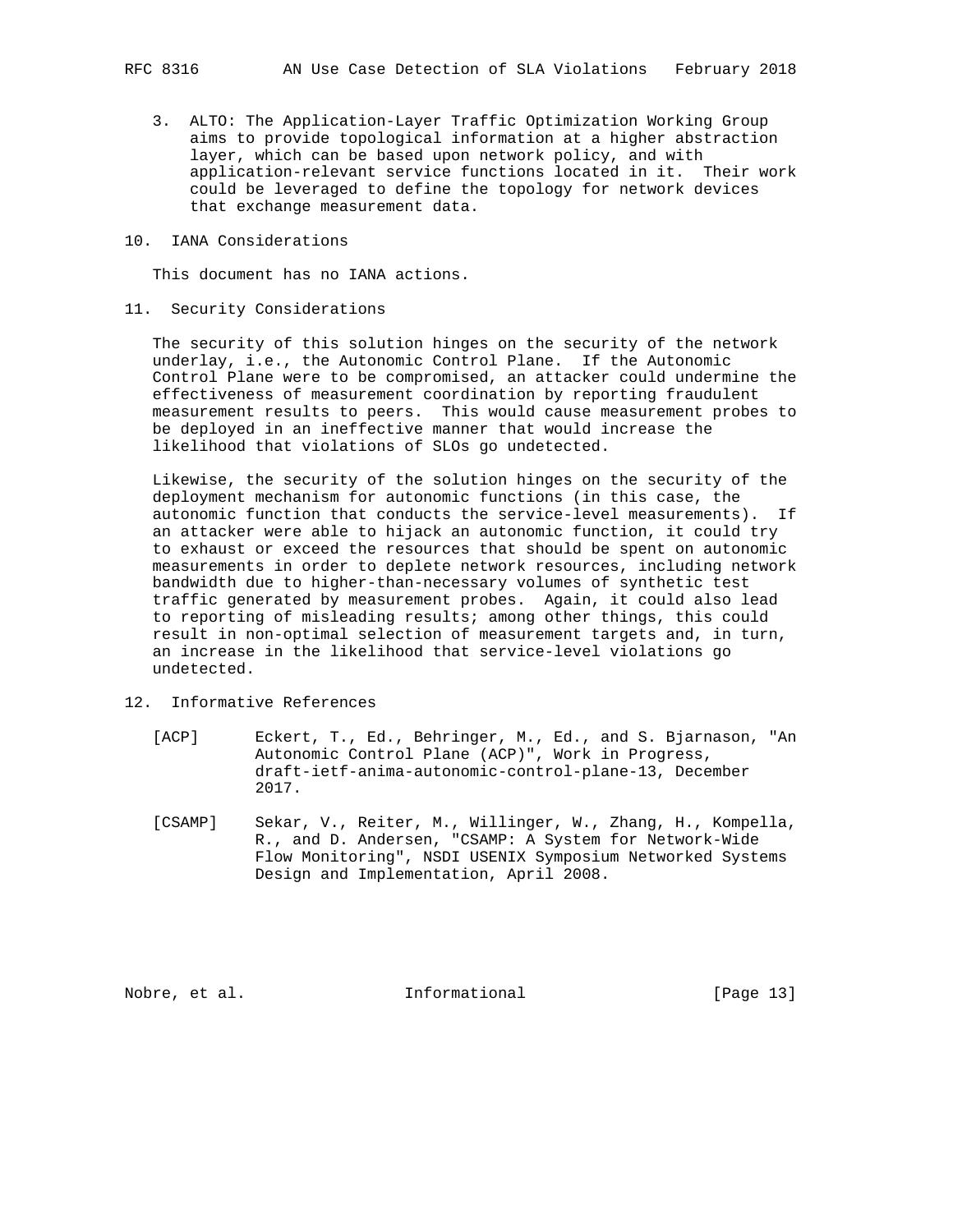- 3. ALTO: The Application-Layer Traffic Optimization Working Group aims to provide topological information at a higher abstraction layer, which can be based upon network policy, and with application-relevant service functions located in it. Their work could be leveraged to define the topology for network devices that exchange measurement data.
- 10. IANA Considerations

This document has no IANA actions.

11. Security Considerations

 The security of this solution hinges on the security of the network underlay, i.e., the Autonomic Control Plane. If the Autonomic Control Plane were to be compromised, an attacker could undermine the effectiveness of measurement coordination by reporting fraudulent measurement results to peers. This would cause measurement probes to be deployed in an ineffective manner that would increase the likelihood that violations of SLOs go undetected.

 Likewise, the security of the solution hinges on the security of the deployment mechanism for autonomic functions (in this case, the autonomic function that conducts the service-level measurements). If an attacker were able to hijack an autonomic function, it could try to exhaust or exceed the resources that should be spent on autonomic measurements in order to deplete network resources, including network bandwidth due to higher-than-necessary volumes of synthetic test traffic generated by measurement probes. Again, it could also lead to reporting of misleading results; among other things, this could result in non-optimal selection of measurement targets and, in turn, an increase in the likelihood that service-level violations go undetected.

- 12. Informative References
	- [ACP] Eckert, T., Ed., Behringer, M., Ed., and S. Bjarnason, "An Autonomic Control Plane (ACP)", Work in Progress, draft-ietf-anima-autonomic-control-plane-13, December 2017.
	- [CSAMP] Sekar, V., Reiter, M., Willinger, W., Zhang, H., Kompella, R., and D. Andersen, "CSAMP: A System for Network-Wide Flow Monitoring", NSDI USENIX Symposium Networked Systems Design and Implementation, April 2008.

Nobre, et al. 100 mm informational [Page 13]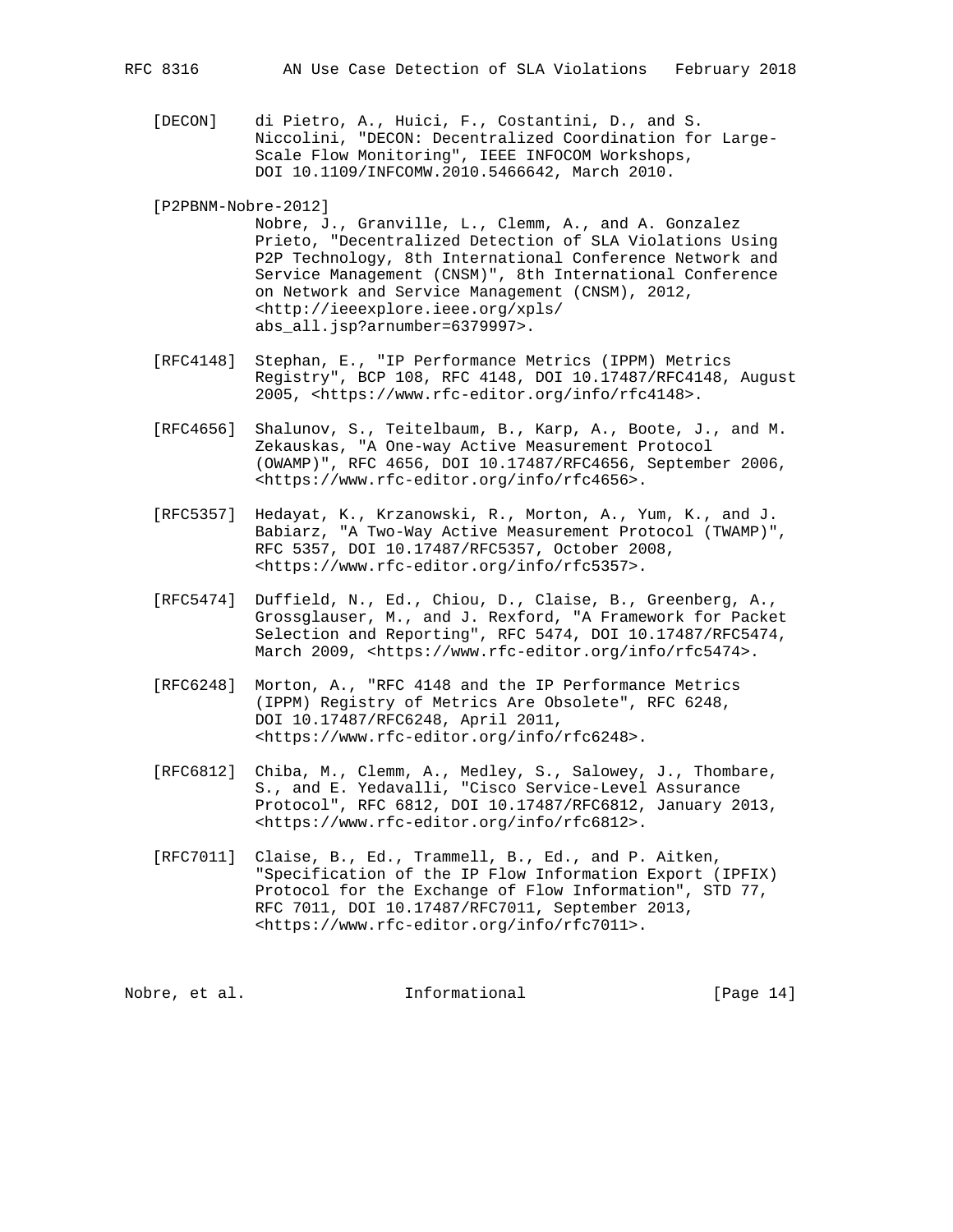- [DECON] di Pietro, A., Huici, F., Costantini, D., and S. Niccolini, "DECON: Decentralized Coordination for Large- Scale Flow Monitoring", IEEE INFOCOM Workshops, DOI 10.1109/INFCOMW.2010.5466642, March 2010.
- [P2PBNM-Nobre-2012]

 Nobre, J., Granville, L., Clemm, A., and A. Gonzalez Prieto, "Decentralized Detection of SLA Violations Using P2P Technology, 8th International Conference Network and Service Management (CNSM)", 8th International Conference on Network and Service Management (CNSM), 2012, <http://ieeexplore.ieee.org/xpls/ abs\_all.jsp?arnumber=6379997>.

- [RFC4148] Stephan, E., "IP Performance Metrics (IPPM) Metrics Registry", BCP 108, RFC 4148, DOI 10.17487/RFC4148, August 2005, <https://www.rfc-editor.org/info/rfc4148>.
- [RFC4656] Shalunov, S., Teitelbaum, B., Karp, A., Boote, J., and M. Zekauskas, "A One-way Active Measurement Protocol (OWAMP)", RFC 4656, DOI 10.17487/RFC4656, September 2006, <https://www.rfc-editor.org/info/rfc4656>.
- [RFC5357] Hedayat, K., Krzanowski, R., Morton, A., Yum, K., and J. Babiarz, "A Two-Way Active Measurement Protocol (TWAMP)", RFC 5357, DOI 10.17487/RFC5357, October 2008, <https://www.rfc-editor.org/info/rfc5357>.
- [RFC5474] Duffield, N., Ed., Chiou, D., Claise, B., Greenberg, A., Grossglauser, M., and J. Rexford, "A Framework for Packet Selection and Reporting", RFC 5474, DOI 10.17487/RFC5474, March 2009, <https://www.rfc-editor.org/info/rfc5474>.
- [RFC6248] Morton, A., "RFC 4148 and the IP Performance Metrics (IPPM) Registry of Metrics Are Obsolete", RFC 6248, DOI 10.17487/RFC6248, April 2011, <https://www.rfc-editor.org/info/rfc6248>.
- [RFC6812] Chiba, M., Clemm, A., Medley, S., Salowey, J., Thombare, S., and E. Yedavalli, "Cisco Service-Level Assurance Protocol", RFC 6812, DOI 10.17487/RFC6812, January 2013, <https://www.rfc-editor.org/info/rfc6812>.
- [RFC7011] Claise, B., Ed., Trammell, B., Ed., and P. Aitken, "Specification of the IP Flow Information Export (IPFIX) Protocol for the Exchange of Flow Information", STD 77, RFC 7011, DOI 10.17487/RFC7011, September 2013, <https://www.rfc-editor.org/info/rfc7011>.

Nobre, et al. Informational [Page 14]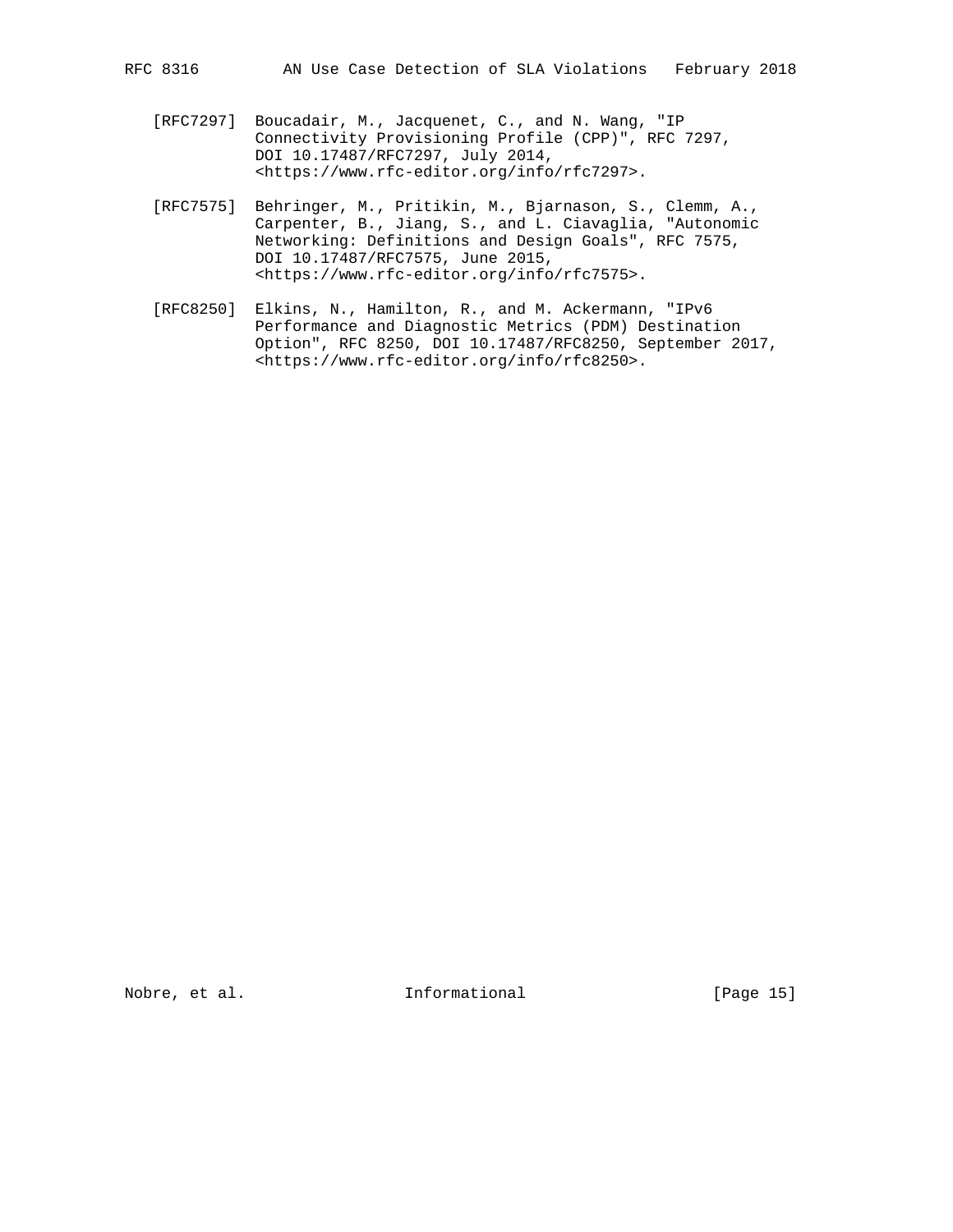- [RFC7297] Boucadair, M., Jacquenet, C., and N. Wang, "IP Connectivity Provisioning Profile (CPP)", RFC 7297, DOI 10.17487/RFC7297, July 2014, <https://www.rfc-editor.org/info/rfc7297>.
- [RFC7575] Behringer, M., Pritikin, M., Bjarnason, S., Clemm, A., Carpenter, B., Jiang, S., and L. Ciavaglia, "Autonomic Networking: Definitions and Design Goals", RFC 7575, DOI 10.17487/RFC7575, June 2015, <https://www.rfc-editor.org/info/rfc7575>.
- [RFC8250] Elkins, N., Hamilton, R., and M. Ackermann, "IPv6 Performance and Diagnostic Metrics (PDM) Destination Option", RFC 8250, DOI 10.17487/RFC8250, September 2017, <https://www.rfc-editor.org/info/rfc8250>.